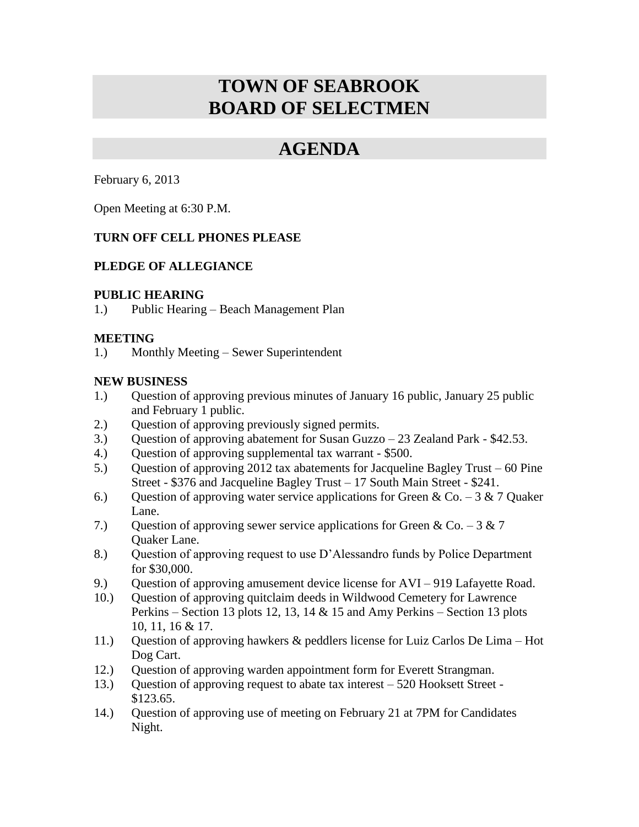# **TOWN OF SEABROOK BOARD OF SELECTMEN**

## **AGENDA**

February 6, 2013

Open Meeting at 6:30 P.M.

### **TURN OFF CELL PHONES PLEASE**

### **PLEDGE OF ALLEGIANCE**

#### **PUBLIC HEARING**

1.) Public Hearing – Beach Management Plan

### **MEETING**

1.) Monthly Meeting – Sewer Superintendent

### **NEW BUSINESS**

- 1.) Question of approving previous minutes of January 16 public, January 25 public and February 1 public.
- 2.) Question of approving previously signed permits.
- 3.) Question of approving abatement for Susan Guzzo 23 Zealand Park \$42.53.
- 4.) Question of approving supplemental tax warrant \$500.
- 5.) Question of approving 2012 tax abatements for Jacqueline Bagley Trust 60 Pine Street - \$376 and Jacqueline Bagley Trust – 17 South Main Street - \$241.
- 6.) Ouestion of approving water service applications for Green & Co. 3 & 7 Ouaker Lane.
- 7.) Ouestion of approving sewer service applications for Green & Co. 3 & 7 Quaker Lane.
- 8.) Question of approving request to use D'Alessandro funds by Police Department for \$30,000.
- 9.) Question of approving amusement device license for AVI 919 Lafayette Road.
- 10.) Question of approving quitclaim deeds in Wildwood Cemetery for Lawrence Perkins – Section 13 plots 12, 13, 14  $&$  15 and Amy Perkins – Section 13 plots 10, 11, 16 & 17.
- 11.) Question of approving hawkers & peddlers license for Luiz Carlos De Lima Hot Dog Cart.
- 12.) Question of approving warden appointment form for Everett Strangman.
- 13.) Question of approving request to abate tax interest 520 Hooksett Street \$123.65.
- 14.) Question of approving use of meeting on February 21 at 7PM for Candidates Night.